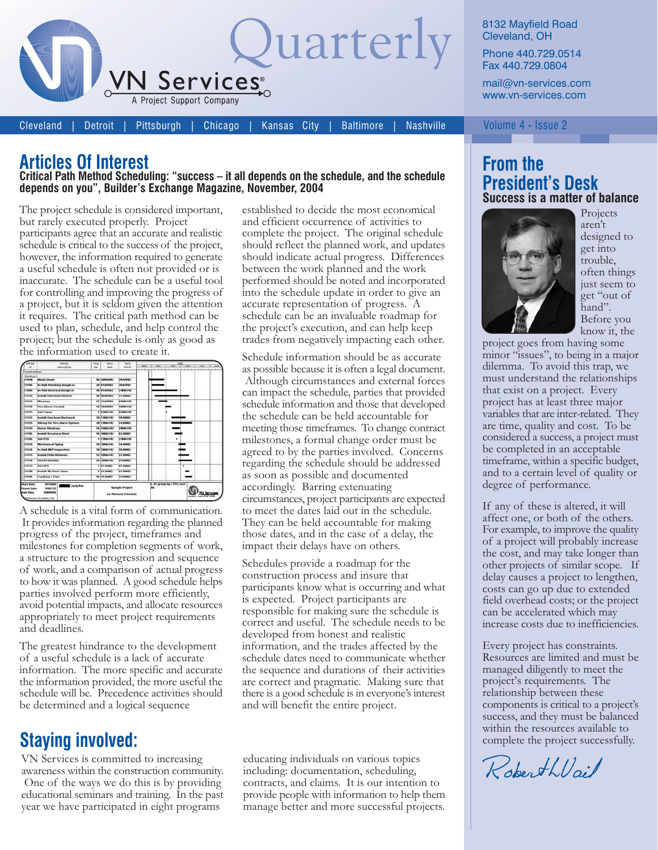

**Cleveland Detroit**  Pittsburgh Chicago

Kansas City **Baltimore**  **Nashville** 

8132 Mayfield Road Cleveland, OH

Phone 440.729.0514 Fax 440.729.0804

mail@vn-services.com www.vn-services.com

Volume 4 - Issue 2

## **Articles Of Interest**

#### Critical Path Method Scheduling: "success - it all depends on the schedule, and the schedule depends on you", Builder's Exchange Magazine, November, 2004

The project schedule is considered important, but rarely executed properly. Project participants agree that an accurate and realistic schedule is critical to the success of the project, however, the information required to generate a useful schedule is often not provided or is inaccurate. The schedule can be a useful tool for controlling and improving the progress of a project, but it is seldom given the attention it requires. The critical path method can be used to plan, schedule, and help control the project; but the schedule is only as good as the information used to create it.

| <b>Built</b> a                                                                                                    | <b>Adjusty</b>                    | Origi                                               | Early             | Early           | <b>WAX</b> | $178 -$                                                    | <b>WAY</b> | T AN 1 AN |         | AUS |  |
|-------------------------------------------------------------------------------------------------------------------|-----------------------------------|-----------------------------------------------------|-------------------|-----------------|------------|------------------------------------------------------------|------------|-----------|---------|-----|--|
|                                                                                                                   | Description                       | Due                                                 | <b>Hart</b>       | Pinish          |            |                                                            | 1.11       |           | 1.1.1.1 |     |  |
| <b>Construction</b>                                                                                               |                                   |                                                     |                   |                 |            |                                                            |            |           |         |     |  |
| <b>Building A</b><br>C1849                                                                                        | <b>Metal Shorts</b>               |                                                     | <b>BE JEMADE?</b> | <b>26AP082</b>  |            |                                                            |            |           |         |     |  |
|                                                                                                                   |                                   |                                                     |                   | 2662987         |            |                                                            |            |           |         |     |  |
| <b>C1105</b>                                                                                                      | <b>By Well Plumbing Rough in</b>  |                                                     | 20 01APREZ        |                 |            |                                                            |            |           |         |     |  |
| <b>Crass</b>                                                                                                      | In Wall Electrical Rough-in       |                                                     | 40 01AP082        | 2-MAA VBZ       |            |                                                            |            |           |         |     |  |
| C1135                                                                                                             | <b>Install Overhoad Electric</b>  |                                                     | SB BEAPREZ®       | 17,6883         |            |                                                            |            |           |         |     |  |
| <b>C</b> ssss                                                                                                     | Masonry                           |                                                     | 15 15APREZ        | <b>E3MAY87</b>  |            |                                                            |            |           |         |     |  |
| C1228                                                                                                             | Fire Alarm Conduit                |                                                     | 18 25APR02        | 1986AVR2        |            |                                                            |            |           |         |     |  |
| C1275                                                                                                             | <b>Set Curbs</b>                  |                                                     | 1 E2MAYE2         | EZMANDZ         |            |                                                            |            |           |         |     |  |
| C1125                                                                                                             | <b>Install Overhead Ouctivork</b> |                                                     | 28 13MAY02        | <b>18.83887</b> |            |                                                            |            |           |         |     |  |
| C1225                                                                                                             | Wirms For Fire Alarm System       |                                                     | 38 13MAY07        | 24,0000.7       |            |                                                            |            |           |         |     |  |
| <b>C1555</b>                                                                                                      | <b>Oerma Windows</b>              |                                                     | 10 SSMAY821       | 2984AV82        |            |                                                            |            |           |         |     |  |
| C1165                                                                                                             | <b>Install Structural Steel</b>   |                                                     | 10 JONATO         | <b>Chann</b> (a |            |                                                            |            |           |         |     |  |
| C1266                                                                                                             | <b>Said St Eta</b>                |                                                     | 1 23MAY02         | <b>2384AV82</b> |            |                                                            |            |           |         |     |  |
| C1235                                                                                                             | Mechanical Piping                 |                                                     | 10 HALAVAY        | <b>18 HEARY</b> |            |                                                            |            |           |         |     |  |
| C1245                                                                                                             | In Wall MEP Imagestion            |                                                     | 10 JUNAYOZ        | 18,0002         |            |                                                            |            |           |         |     |  |
| C1175                                                                                                             | <b>Bustall Prifix Worknown</b>    |                                                     | <b>SE 26MAYR2</b> | 17,0002         |            |                                                            |            |           |         |     |  |
| C1146                                                                                                             | <b>Fire Protection</b>            |                                                     | <b>JE JEMAYEZ</b> | 24,69482        |            |                                                            |            |           |         |     |  |
| C1215                                                                                                             | Set UPS                           |                                                     | <b>9 87 JUNE2</b> | <b>B7 HNB2</b>  |            |                                                            |            | Ŧ         |         |     |  |
| C1398                                                                                                             | <b>Install All: Floor Glass</b>   |                                                     | $5111$ HN487      | 17,88892        |            |                                                            |            |           |         |     |  |
| C1185                                                                                                             | Caudicing / Trim                  |                                                     | 18 11 HAND        | 24,88882        |            |                                                            |            |           |         |     |  |
| <b>Start Date</b><br>streng?<br><b>Early Bar</b><br><b>Vanish Date</b><br>310EC82<br><b>Infa Date</b><br>26888882 |                                   | <b>Sample Project</b><br><b>As Planned Schedule</b> |                   |                 |            | 3. 41 group by TYPE; sort<br>an.<br>dispete consultate and |            |           |         |     |  |

A schedule is a vital form of communication. It provides information regarding the planned progress of the project, timeframes and milestones for completion segments of work, a structure to the progression and sequence of work, and a comparison of actual progress to how it was planned. A good schedule helps parties involved perform more efficiently, avoid potential impacts, and allocate resources appropriately to meet project requirements and deadlines.

The greatest hindrance to the development of a useful schedule is a lack of accurate information. The more specific and accurate the information provided, the more useful the schedule will be. Precedence activities should be determined and a logical sequence

## **Staying involved:**

VN Services is committed to increasing awareness within the construction community. One of the ways we do this is by providing educational seminars and training. In the past year we have participated in eight programs

established to decide the most economical and efficient occurrence of activities to complete the project. The original schedule should reflect the planned work, and updates should indicate actual progress. Differences between the work planned and the work performed should be noted and incorporated into the schedule update in order to give an accurate representation of progress. A schedule can be an invaluable roadmap for the project's execution, and can help keep trades from negatively impacting each other.

Schedule information should be as accurate as possible because it is often a legal document. Although circumstances and external forces can impact the schedule, parties that provided schedule information and those that developed the schedule can be held accountable for meeting those timeframes. To change contract milestones, a formal change order must be agreed to by the parties involved. Concerns regarding the schedule should be addressed as soon as possible and documented accordingly. Barring extenuating circumstances, project participants are expected to meet the dates laid out in the schedule. They can be held accountable for making those dates, and in the case of a delay, the impact their delays have on others.

Schedules provide a roadmap for the construction process and insure that participants know what is occurring and what is expected. Project participants are responsible for making sure the schedule is correct and useful. The schedule needs to be developed from honest and realistic information, and the trades affected by the schedule dates need to communicate whether the sequence and durations of their activities are correct and pragmatic. Making sure that there is a good schedule is in everyone's interest and will benefit the entire project.

educating individuals on various topics including: documentation, scheduling, contracts, and claims. It is our intention to provide people with information to help them manage better and more successful projects.

### **From the President's Desk** Success is a matter of balance



Projects aren't designed to get into trouble, often things just seem to get "out of hand". Before you know it, the

project goes from having some minor "issues", to being in a major dilemma. To avoid this trap, we must understand the relationships that exist on a project. Every project has at least three major variables that are inter-related. They are time, quality and cost. To be considered a success, a project must be completed in an acceptable timeframe, within a specific budget, and to a certain level of quality or degree of performance.

If any of these is altered, it will affect one, or both of the others. For example, to improve the quality of a project will probably increase the cost, and may take longer than other projects of similar scope. If delay causes a project to lengthen, costs can go up due to extended field overhead costs; or the project can be accelerated which may increase costs due to inefficiencies.

Every project has constraints. Resources are limited and must be managed diligently to meet the project's requirements. The relationship between these components is critical to a project's success, and they must be balanced within the resources available to complete the project successfully.

RoberthVail